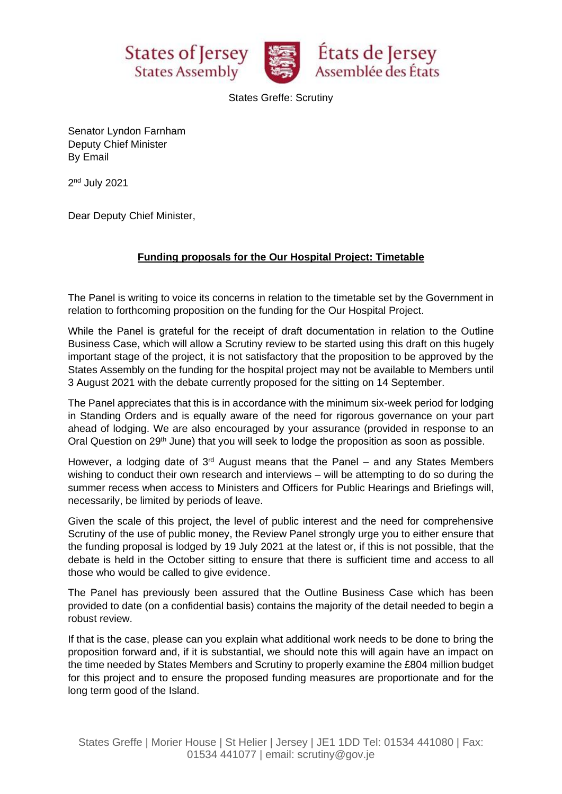





States Greffe: Scrutiny

Senator Lyndon Farnham Deputy Chief Minister By Email

2<sup>nd</sup> July 2021

Dear Deputy Chief Minister,

## **Funding proposals for the Our Hospital Project: Timetable**

The Panel is writing to voice its concerns in relation to the timetable set by the Government in relation to forthcoming proposition on the funding for the Our Hospital Project.

While the Panel is grateful for the receipt of draft documentation in relation to the Outline Business Case, which will allow a Scrutiny review to be started using this draft on this hugely important stage of the project, it is not satisfactory that the proposition to be approved by the States Assembly on the funding for the hospital project may not be available to Members until 3 August 2021 with the debate currently proposed for the sitting on 14 September.

The Panel appreciates that this is in accordance with the minimum six-week period for lodging in Standing Orders and is equally aware of the need for rigorous governance on your part ahead of lodging. We are also encouraged by your assurance (provided in response to an Oral Question on 29<sup>th</sup> June) that you will seek to lodge the proposition as soon as possible.

However, a lodging date of  $3<sup>rd</sup>$  August means that the Panel – and any States Members wishing to conduct their own research and interviews – will be attempting to do so during the summer recess when access to Ministers and Officers for Public Hearings and Briefings will, necessarily, be limited by periods of leave.

Given the scale of this project, the level of public interest and the need for comprehensive Scrutiny of the use of public money, the Review Panel strongly urge you to either ensure that the funding proposal is lodged by 19 July 2021 at the latest or, if this is not possible, that the debate is held in the October sitting to ensure that there is sufficient time and access to all those who would be called to give evidence.

The Panel has previously been assured that the Outline Business Case which has been provided to date (on a confidential basis) contains the majority of the detail needed to begin a robust review.

If that is the case, please can you explain what additional work needs to be done to bring the proposition forward and, if it is substantial, we should note this will again have an impact on the time needed by States Members and Scrutiny to properly examine the £804 million budget for this project and to ensure the proposed funding measures are proportionate and for the long term good of the Island.